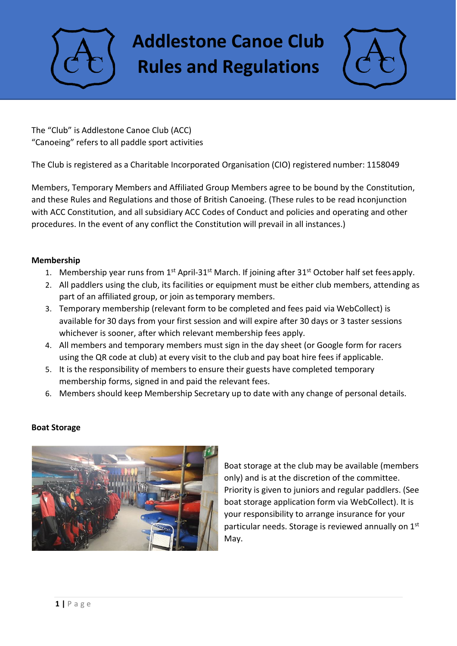**Addlestone Canoe Club Rules and Regulations**



The "Club" is Addlestone Canoe Club (ACC) "Canoeing" refers to all paddle sport activities

The Club is registered as a Charitable Incorporated Organisation (CIO) registered number: 1158049

Members, Temporary Members and Affiliated Group Members agree to be bound by the Constitution, and these Rules and Regulations and those of British Canoeing. (These rules to be read inconjunction with ACC Constitution, and all subsidiary ACC Codes of Conduct and policies and operating and other procedures. In the event of any conflict the Constitution will prevail in all instances.)

### **Membership**

- 1. Membership year runs from 1<sup>st</sup> April-31<sup>st</sup> March. If joining after 31<sup>st</sup> October half set fees apply.
- 2. All paddlers using the club, its facilities or equipment must be either club members, attending as part of an affiliated group, or join as temporary members.
- 3. Temporary membership (relevant form to be completed and fees paid via WebCollect) is available for 30 days from your first session and will expire after 30 days or 3 taster sessions whichever is sooner, after which relevant membership fees apply.
- 4. All members and temporary members must sign in the day sheet (or Google form for racers using the QR code at club) at every visit to the club and pay boat hire fees if applicable.
- 5. It is the responsibility of members to ensure their guests have completed temporary membership forms, signed in and paid the relevant fees.
- 6. Members should keep Membership Secretary up to date with any change of personal details.

### **Boat Storage**



Boat storage at the club may be available (members only) and is at the discretion of the committee. Priority is given to juniors and regular paddlers. (See boat storage application form via WebCollect). It is your responsibility to arrange insurance for your particular needs. Storage is reviewed annually on 1st May.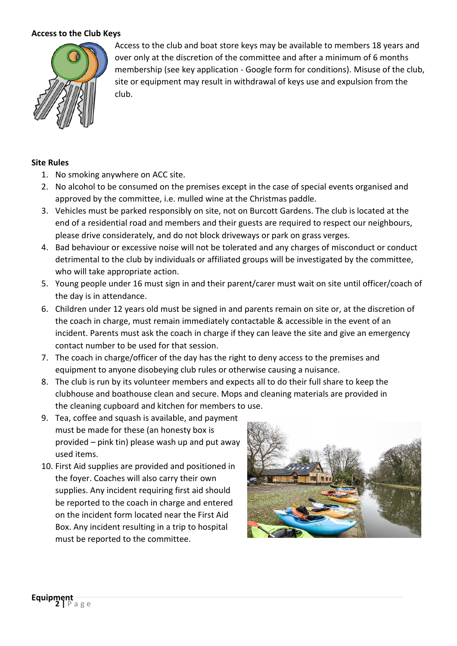#### **Access to the Club Keys**



Access to the club and boat store keys may be available to members 18 years and over only at the discretion of the committee and after a minimum of 6 months membership (see key application - Google form for conditions). Misuse of the club, site or equipment may result in withdrawal of keys use and expulsion from the club.

#### **Site Rules**

- 1. No smoking anywhere on ACC site.
- 2. No alcohol to be consumed on the premises except in the case of special events organised and approved by the committee, i.e. mulled wine at the Christmas paddle.
- 3. Vehicles must be parked responsibly on site, not on Burcott Gardens. The club is located at the end of a residential road and members and their guests are required to respect our neighbours, please drive considerately, and do not block driveways or park on grass verges.
- 4. Bad behaviour or excessive noise will not be tolerated and any charges of misconduct or conduct detrimental to the club by individuals or affiliated groups will be investigated by the committee, who will take appropriate action.
- 5. Young people under 16 must sign in and their parent/carer must wait on site until officer/coach of the day is in attendance.
- 6. Children under 12 years old must be signed in and parents remain on site or, at the discretion of the coach in charge, must remain immediately contactable & accessible in the event of an incident. Parents must ask the coach in charge if they can leave the site and give an emergency contact number to be used for that session.
- 7. The coach in charge/officer of the day has the right to deny access to the premises and equipment to anyone disobeying club rules or otherwise causing a nuisance.
- 8. The club is run by its volunteer members and expects all to do their full share to keep the clubhouse and boathouse clean and secure. Mops and cleaning materials are provided in the cleaning cupboard and kitchen for members to use.
- 9. Tea, coffee and squash is available, and payment must be made for these (an honesty box is provided – pink tin) please wash up and put away used items.
- 10. First Aid supplies are provided and positioned in the foyer. Coaches will also carry their own supplies. Any incident requiring first aid should be reported to the coach in charge and entered on the incident form located near the First Aid Box. Any incident resulting in a trip to hospital must be reported to the committee.

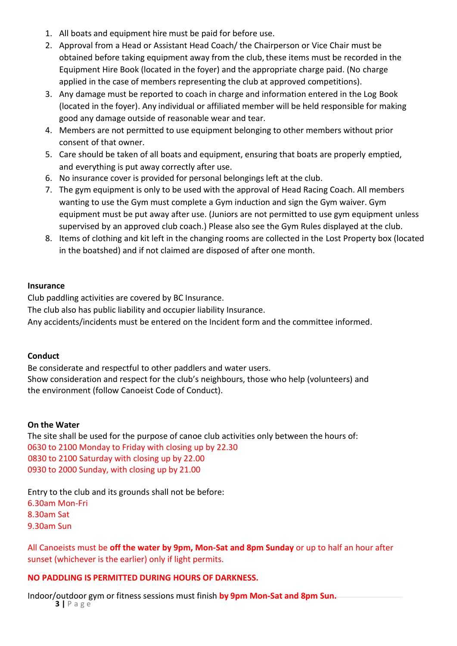- 1. All boats and equipment hire must be paid for before use.
- 2. Approval from a Head or Assistant Head Coach/ the Chairperson or Vice Chair must be obtained before taking equipment away from the club, these items must be recorded in the Equipment Hire Book (located in the foyer) and the appropriate charge paid. (No charge applied in the case of members representing the club at approved competitions).
- 3. Any damage must be reported to coach in charge and information entered in the Log Book (located in the foyer). Any individual or affiliated member will be held responsible for making good any damage outside of reasonable wear and tear.
- 4. Members are not permitted to use equipment belonging to other members without prior consent of that owner.
- 5. Care should be taken of all boats and equipment, ensuring that boats are properly emptied, and everything is put away correctly after use.
- 6. No insurance cover is provided for personal belongings left at the club.
- 7. The gym equipment is only to be used with the approval of Head Racing Coach. All members wanting to use the Gym must complete a Gym induction and sign the Gym waiver. Gym equipment must be put away after use. (Juniors are not permitted to use gym equipment unless supervised by an approved club coach.) Please also see the Gym Rules displayed at the club.
- 8. Items of clothing and kit left in the changing rooms are collected in the Lost Property box (located in the boatshed) and if not claimed are disposed of after one month.

#### **Insurance**

Club paddling activities are covered by BC Insurance.

The club also has public liability and occupier liability Insurance.

Any accidents/incidents must be entered on the Incident form and the committee informed.

### **Conduct**

Be considerate and respectful to other paddlers and water users. Show consideration and respect for the club's neighbours, those who help (volunteers) and the environment (follow Canoeist Code of Conduct).

### **On the Water**

The site shall be used for the purpose of canoe club activities only between the hours of: 0630 to 2100 Monday to Friday with closing up by 22.30 0830 to 2100 Saturday with closing up by 22.00 0930 to 2000 Sunday, with closing up by 21.00

Entry to the club and its grounds shall not be before: 6.30am Mon-Fri 8.30am Sat 9.30am Sun

All Canoeists must be **off the water by 9pm, Mon-Sat and 8pm Sunday** or up to half an hour after sunset (whichever is the earlier) only if light permits.

### **NO PADDLING IS PERMITTED DURING HOURS OF DARKNESS.**

**3 |** P a g e Indoor/outdoor gym or fitness sessions must finish **by 9pm Mon-Sat and 8pm Sun.**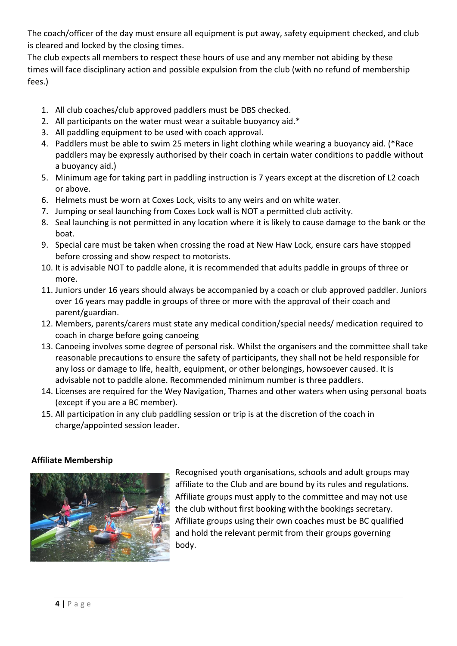The coach/officer of the day must ensure all equipment is put away, safety equipment checked, and club is cleared and locked by the closing times.

The club expects all members to respect these hours of use and any member not abiding by these times will face disciplinary action and possible expulsion from the club (with no refund of membership fees.)

- 1. All club coaches/club approved paddlers must be DBS checked.
- 2. All participants on the water must wear a suitable buoyancy aid.\*
- 3. All paddling equipment to be used with coach approval.
- 4. Paddlers must be able to swim 25 meters in light clothing while wearing a buoyancy aid. (\*Race paddlers may be expressly authorised by their coach in certain water conditions to paddle without a buoyancy aid.)
- 5. Minimum age for taking part in paddling instruction is 7 years except at the discretion of L2 coach or above.
- 6. Helmets must be worn at Coxes Lock, visits to any weirs and on white water.
- 7. Jumping or seal launching from Coxes Lock wall is NOT a permitted club activity.
- 8. Seal launching is not permitted in any location where it is likely to cause damage to the bank or the boat.
- 9. Special care must be taken when crossing the road at New Haw Lock, ensure cars have stopped before crossing and show respect to motorists.
- 10. It is advisable NOT to paddle alone, it is recommended that adults paddle in groups of three or more.
- 11. Juniors under 16 years should always be accompanied by a coach or club approved paddler. Juniors over 16 years may paddle in groups of three or more with the approval of their coach and parent/guardian.
- 12. Members, parents/carers must state any medical condition/special needs/ medication required to coach in charge before going canoeing
- 13. Canoeing involves some degree of personal risk. Whilst the organisers and the committee shall take reasonable precautions to ensure the safety of participants, they shall not be held responsible for any loss or damage to life, health, equipment, or other belongings, howsoever caused. It is advisable not to paddle alone. Recommended minimum number is three paddlers.
- 14. Licenses are required for the Wey Navigation, Thames and other waters when using personal boats (except if you are a BC member).
- 15. All participation in any club paddling session or trip is at the discretion of the coach in charge/appointed session leader.

# **Affiliate Membership**



Recognised youth organisations, schools and adult groups may affiliate to the Club and are bound by its rules and regulations. Affiliate groups must apply to the committee and may not use the club without first booking with the bookings secretary. Affiliate groups using their own coaches must be BC qualified and hold the relevant permit from their groups governing body.